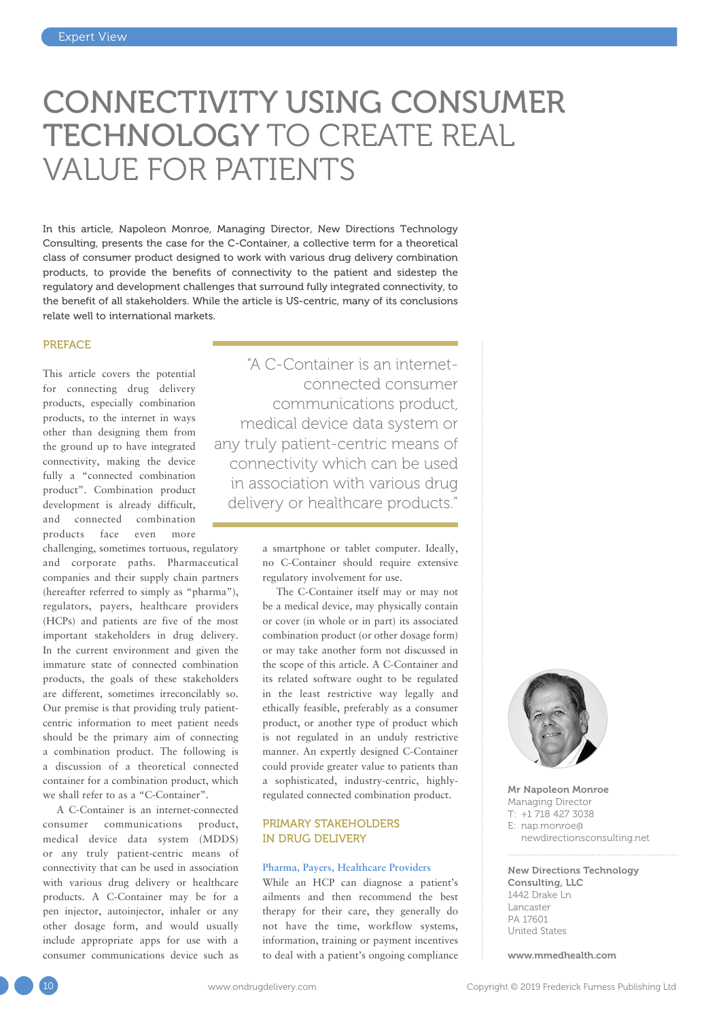# CONNECTIVITY USING CONSUMER TECHNOLOGY TO CREATE REAL VALUE FOR PATIENTS

In this article, Napoleon Monroe, Managing Director, New Directions Technology Consulting, presents the case for the C-Container, a collective term for a theoretical class of consumer product designed to work with various drug delivery combination products, to provide the benefits of connectivity to the patient and sidestep the regulatory and development challenges that surround fully integrated connectivity, to the benefit of all stakeholders. While the article is US-centric, many of its conclusions relate well to international markets.

#### PREFACE

This article covers the potential for connecting drug delivery products, especially combination products, to the internet in ways other than designing them from the ground up to have integrated connectivity, making the device fully a "connected combination product". Combination product development is already difficult, and connected combination products face even more

challenging, sometimes tortuous, regulatory and corporate paths. Pharmaceutical companies and their supply chain partners (hereafter referred to simply as "pharma"), regulators, payers, healthcare providers (HCPs) and patients are five of the most important stakeholders in drug delivery. In the current environment and given the immature state of connected combination products, the goals of these stakeholders are different, sometimes irreconcilably so. Our premise is that providing truly patientcentric information to meet patient needs should be the primary aim of connecting a combination product. The following is a discussion of a theoretical connected container for a combination product, which we shall refer to as a "C-Container".

A C-Container is an internet-connected consumer communications product, medical device data system (MDDS) or any truly patient-centric means of connectivity that can be used in association with various drug delivery or healthcare products. A C-Container may be for a pen injector, autoinjector, inhaler or any other dosage form, and would usually include appropriate apps for use with a consumer communications device such as

"A C-Container is an internetconnected consumer communications product, medical device data system or any truly patient-centric means of connectivity which can be used in association with various drug delivery or healthcare products."

> a smartphone or tablet computer. Ideally, no C-Container should require extensive regulatory involvement for use.

The C-Container itself may or may not be a medical device, may physically contain or cover (in whole or in part) its associated combination product (or other dosage form) or may take another form not discussed in the scope of this article. A C-Container and its related software ought to be regulated in the least restrictive way legally and ethically feasible, preferably as a consumer product, or another type of product which is not regulated in an unduly restrictive manner. An expertly designed C-Container could provide greater value to patients than a sophisticated, industry-centric, highlyregulated connected combination product.

#### PRIMARY STAKEHOLDERS IN DRUG DELIVERY

#### **Pharma, Payers, Healthcare Providers**

While an HCP can diagnose a patient's ailments and then recommend the best therapy for their care, they generally do not have the time, workflow systems, information, training or payment incentives to deal with a patient's ongoing compliance



Mr Napoleon Monroe Managing Director T: +1 718 427 3038 E: [nap.monroe@](mailto:nap.monroe%40newdirectionsconsulting.net?subject=) [newdirectionsconsulting.net](mailto:nap.monroe%40newdirectionsconsulting.net?subject=)

#### New Directions Technology Consulting, LLC 1442 Drake Ln Lancaster PA 17601 United States

[www.mmedhealth.com](http://www.mmedhealth.com)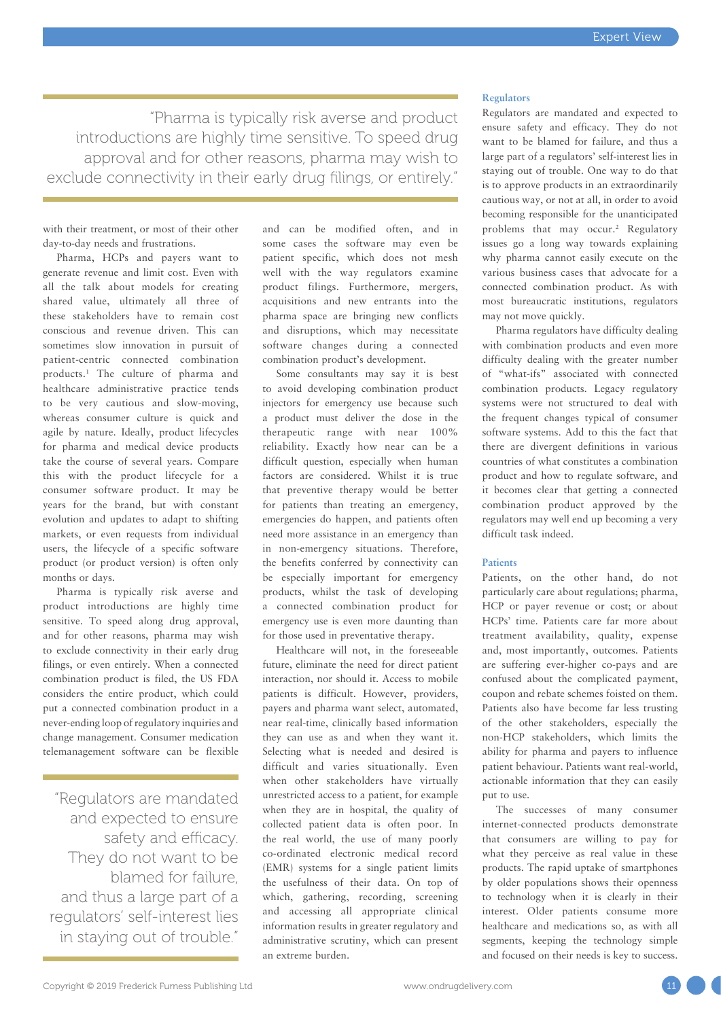"Pharma is typically risk averse and product introductions are highly time sensitive. To speed drug approval and for other reasons, pharma may wish to exclude connectivity in their early drug filings, or entirely."

with their treatment, or most of their other day-to-day needs and frustrations.

Pharma, HCPs and payers want to generate revenue and limit cost. Even with all the talk about models for creating shared value, ultimately all three of these stakeholders have to remain cost conscious and revenue driven. This can sometimes slow innovation in pursuit of patient-centric connected combination products.1 The culture of pharma and healthcare administrative practice tends to be very cautious and slow-moving, whereas consumer culture is quick and agile by nature. Ideally, product lifecycles for pharma and medical device products take the course of several years. Compare this with the product lifecycle for a consumer software product. It may be years for the brand, but with constant evolution and updates to adapt to shifting markets, or even requests from individual users, the lifecycle of a specific software product (or product version) is often only months or days.

Pharma is typically risk averse and product introductions are highly time sensitive. To speed along drug approval, and for other reasons, pharma may wish to exclude connectivity in their early drug filings, or even entirely. When a connected combination product is filed, the US FDA considers the entire product, which could put a connected combination product in a never-ending loop of regulatory inquiries and change management. Consumer medication telemanagement software can be flexible

"Regulators are mandated and expected to ensure safety and efficacy. They do not want to be blamed for failure, and thus a large part of a regulators' self-interest lies in staying out of trouble."

and can be modified often, and in some cases the software may even be patient specific, which does not mesh well with the way regulators examine product filings. Furthermore, mergers, acquisitions and new entrants into the pharma space are bringing new conflicts and disruptions, which may necessitate software changes during a connected combination product's development.

Some consultants may say it is best to avoid developing combination product injectors for emergency use because such a product must deliver the dose in the therapeutic range with near 100% reliability. Exactly how near can be a difficult question, especially when human factors are considered. Whilst it is true that preventive therapy would be better for patients than treating an emergency, emergencies do happen, and patients often need more assistance in an emergency than in non-emergency situations. Therefore, the benefits conferred by connectivity can be especially important for emergency products, whilst the task of developing a connected combination product for emergency use is even more daunting than for those used in preventative therapy.

Healthcare will not, in the foreseeable future, eliminate the need for direct patient interaction, nor should it. Access to mobile patients is difficult. However, providers, payers and pharma want select, automated, near real-time, clinically based information they can use as and when they want it. Selecting what is needed and desired is difficult and varies situationally. Even when other stakeholders have virtually unrestricted access to a patient, for example when they are in hospital, the quality of collected patient data is often poor. In the real world, the use of many poorly co-ordinated electronic medical record (EMR) systems for a single patient limits the usefulness of their data. On top of which, gathering, recording, screening and accessing all appropriate clinical information results in greater regulatory and administrative scrutiny, which can present an extreme burden.

#### **Regulators**

Regulators are mandated and expected to ensure safety and efficacy. They do not want to be blamed for failure, and thus a large part of a regulators' self-interest lies in staying out of trouble. One way to do that is to approve products in an extraordinarily cautious way, or not at all, in order to avoid becoming responsible for the unanticipated problems that may occur.<sup>2</sup> Regulatory issues go a long way towards explaining why pharma cannot easily execute on the various business cases that advocate for a connected combination product. As with most bureaucratic institutions, regulators may not move quickly.

Pharma regulators have difficulty dealing with combination products and even more difficulty dealing with the greater number of "what-ifs" associated with connected combination products. Legacy regulatory systems were not structured to deal with the frequent changes typical of consumer software systems. Add to this the fact that there are divergent definitions in various countries of what constitutes a combination product and how to regulate software, and it becomes clear that getting a connected combination product approved by the regulators may well end up becoming a very difficult task indeed.

#### **Patients**

Patients, on the other hand, do not particularly care about regulations; pharma, HCP or payer revenue or cost; or about HCPs' time. Patients care far more about treatment availability, quality, expense and, most importantly, outcomes. Patients are suffering ever-higher co-pays and are confused about the complicated payment, coupon and rebate schemes foisted on them. Patients also have become far less trusting of the other stakeholders, especially the non-HCP stakeholders, which limits the ability for pharma and payers to influence patient behaviour. Patients want real-world, actionable information that they can easily put to use.

The successes of many consumer internet-connected products demonstrate that consumers are willing to pay for what they perceive as real value in these products. The rapid uptake of smartphones by older populations shows their openness to technology when it is clearly in their interest. Older patients consume more healthcare and medications so, as with all segments, keeping the technology simple and focused on their needs is key to success.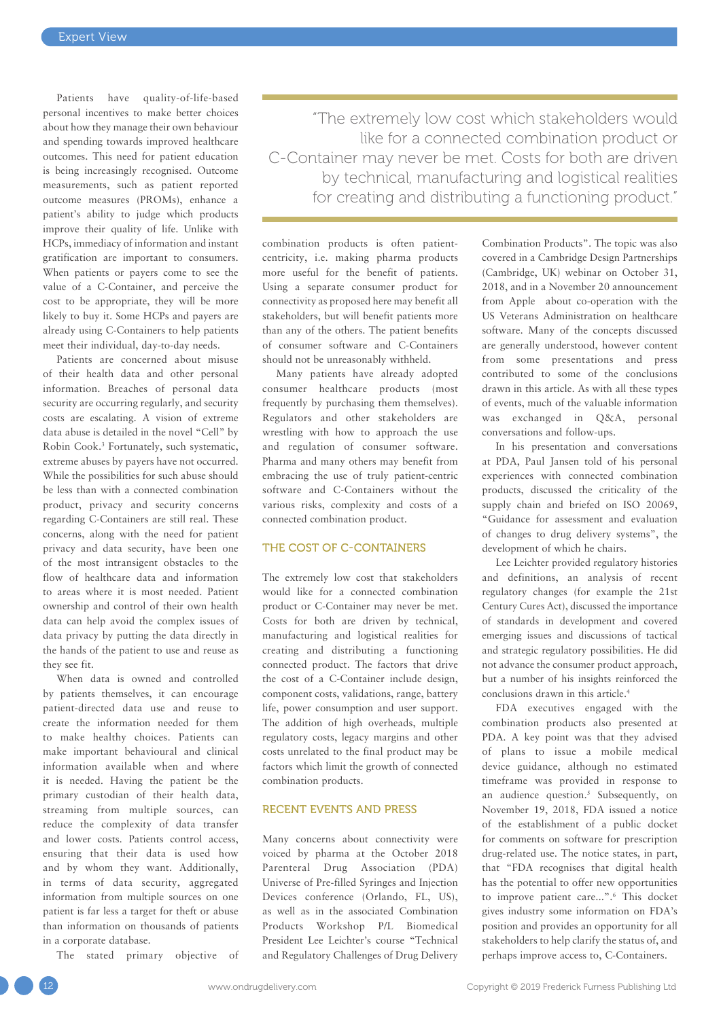Patients have quality-of-life-based personal incentives to make better choices about how they manage their own behaviour and spending towards improved healthcare outcomes. This need for patient education is being increasingly recognised. Outcome measurements, such as patient reported outcome measures (PROMs), enhance a patient's ability to judge which products improve their quality of life. Unlike with HCPs, immediacy of information and instant gratification are important to consumers. When patients or payers come to see the value of a C-Container, and perceive the cost to be appropriate, they will be more likely to buy it. Some HCPs and payers are already using C-Containers to help patients meet their individual, day-to-day needs.

Patients are concerned about misuse of their health data and other personal information. Breaches of personal data security are occurring regularly, and security costs are escalating. A vision of extreme data abuse is detailed in the novel "Cell" by Robin Cook.3 Fortunately, such systematic, extreme abuses by payers have not occurred. While the possibilities for such abuse should be less than with a connected combination product, privacy and security concerns regarding C-Containers are still real. These concerns, along with the need for patient privacy and data security, have been one of the most intransigent obstacles to the flow of healthcare data and information to areas where it is most needed. Patient ownership and control of their own health data can help avoid the complex issues of data privacy by putting the data directly in the hands of the patient to use and reuse as they see fit.

When data is owned and controlled by patients themselves, it can encourage patient-directed data use and reuse to create the information needed for them to make healthy choices. Patients can make important behavioural and clinical information available when and where it is needed. Having the patient be the primary custodian of their health data, streaming from multiple sources, can reduce the complexity of data transfer and lower costs. Patients control access, ensuring that their data is used how and by whom they want. Additionally, in terms of data security, aggregated information from multiple sources on one patient is far less a target for theft or abuse than information on thousands of patients in a corporate database.

The stated primary objective of

"The extremely low cost which stakeholders would like for a connected combination product or C-Container may never be met. Costs for both are driven by technical, manufacturing and logistical realities for creating and distributing a functioning product."

combination products is often patientcentricity, i.e. making pharma products more useful for the benefit of patients. Using a separate consumer product for connectivity as proposed here may benefit all stakeholders, but will benefit patients more than any of the others. The patient benefits of consumer software and C-Containers should not be unreasonably withheld.

Many patients have already adopted consumer healthcare products (most frequently by purchasing them themselves). Regulators and other stakeholders are wrestling with how to approach the use and regulation of consumer software. Pharma and many others may benefit from embracing the use of truly patient-centric software and C-Containers without the various risks, complexity and costs of a connected combination product.

#### THE COST OF C-CONTAINERS

The extremely low cost that stakeholders would like for a connected combination product or C-Container may never be met. Costs for both are driven by technical, manufacturing and logistical realities for creating and distributing a functioning connected product. The factors that drive the cost of a C-Container include design, component costs, validations, range, battery life, power consumption and user support. The addition of high overheads, multiple regulatory costs, legacy margins and other costs unrelated to the final product may be factors which limit the growth of connected combination products.

#### RECENT EVENTS AND PRESS

Many concerns about connectivity were voiced by pharma at the October 2018 Parenteral Drug Association (PDA) Universe of Pre-filled Syringes and Injection Devices conference (Orlando, FL, US), as well as in the associated Combination Products Workshop P/L Biomedical President Lee Leichter's course "Technical and Regulatory Challenges of Drug Delivery Combination Products". The topic was also covered in a Cambridge Design Partnerships (Cambridge, UK) webinar on October 31, 2018, and in a November 20 announcement from Apple about co-operation with the US Veterans Administration on healthcare software. Many of the concepts discussed are generally understood, however content from some presentations and press contributed to some of the conclusions drawn in this article. As with all these types of events, much of the valuable information was exchanged in Q&A, personal conversations and follow-ups.

In his presentation and conversations at PDA, Paul Jansen told of his personal experiences with connected combination products, discussed the criticality of the supply chain and briefed on ISO 20069, "Guidance for assessment and evaluation of changes to drug delivery systems", the development of which he chairs.

Lee Leichter provided regulatory histories and definitions, an analysis of recent regulatory changes (for example the 21st Century Cures Act), discussed the importance of standards in development and covered emerging issues and discussions of tactical and strategic regulatory possibilities. He did not advance the consumer product approach, but a number of his insights reinforced the conclusions drawn in this article.4

FDA executives engaged with the combination products also presented at PDA. A key point was that they advised of plans to issue a mobile medical device guidance, although no estimated timeframe was provided in response to an audience question.<sup>5</sup> Subsequently, on November 19, 2018, FDA issued a notice of the establishment of a public docket for comments on software for prescription drug-related use. The notice states, in part, that "FDA recognises that digital health has the potential to offer new opportunities to improve patient care...".<sup>6</sup> This docket gives industry some information on FDA's position and provides an opportunity for all stakeholders to help clarify the status of, and perhaps improve access to, C-Containers.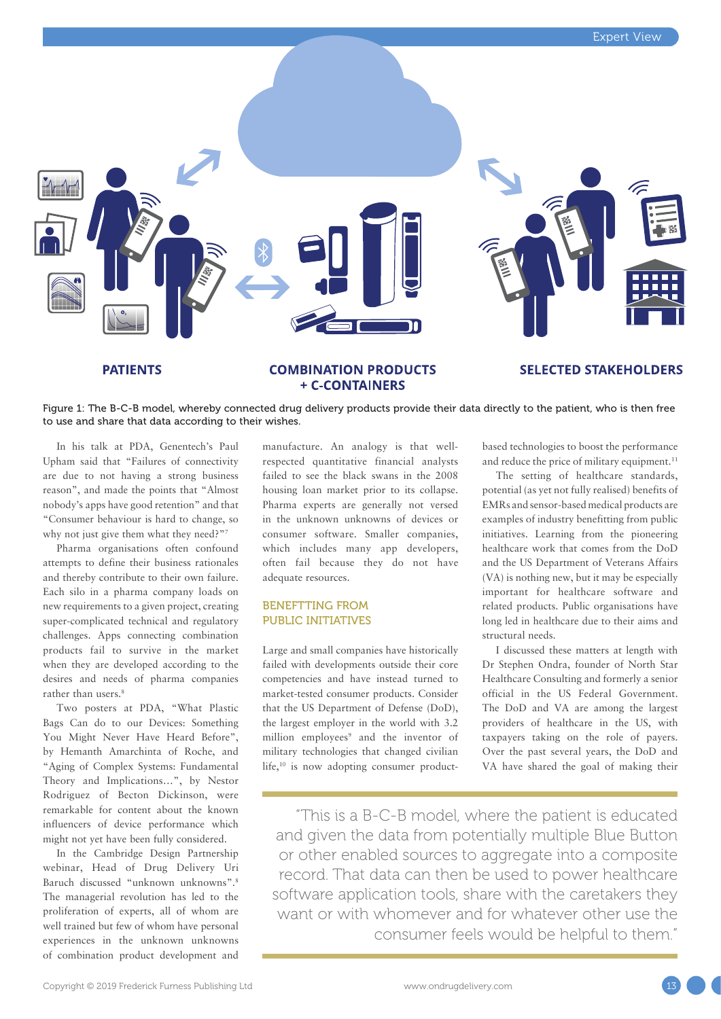

**PATIENTS** 

### **COMBINATION PRODUCTS + C-CONTAINERS**

#### **SELECTED STAKEHOLDERS**

Figure 1: The B-C-B model, whereby connected drug delivery products provide their data directly to the patient, who is then free to use and share that data according to their wishes.

In his talk at PDA, Genentech's Paul Upham said that "Failures of connectivity are due to not having a strong business reason", and made the points that "Almost nobody's apps have good retention" and that "Consumer behaviour is hard to change, so why not just give them what they need?"7

Pharma organisations often confound attempts to define their business rationales and thereby contribute to their own failure. Each silo in a pharma company loads on new requirements to a given project, creating super-complicated technical and regulatory challenges. Apps connecting combination products fail to survive in the market when they are developed according to the desires and needs of pharma companies rather than users.<sup>8</sup>

Two posters at PDA, "What Plastic Bags Can do to our Devices: Something You Might Never Have Heard Before", by Hemanth Amarchinta of Roche, and "Aging of Complex Systems: Fundamental Theory and Implications…", by Nestor Rodriguez of Becton Dickinson, were remarkable for content about the known influencers of device performance which might not yet have been fully considered.

In the Cambridge Design Partnership webinar, Head of Drug Delivery Uri Baruch discussed "unknown unknowns".8 The managerial revolution has led to the proliferation of experts, all of whom are well trained but few of whom have personal experiences in the unknown unknowns of combination product development and manufacture. An analogy is that wellrespected quantitative financial analysts failed to see the black swans in the 2008 housing loan market prior to its collapse. Pharma experts are generally not versed in the unknown unknowns of devices or consumer software. Smaller companies, which includes many app developers, often fail because they do not have adequate resources.

### BENEFTTING FROM PUBLIC INITIATIVES

Large and small companies have historically failed with developments outside their core competencies and have instead turned to market-tested consumer products. Consider that the US Department of Defense (DoD), the largest employer in the world with 3.2 million employees<sup>9</sup> and the inventor of military technologies that changed civilian life,<sup>10</sup> is now adopting consumer productbased technologies to boost the performance and reduce the price of military equipment.<sup>11</sup>

The setting of healthcare standards, potential (as yet not fully realised) benefits of EMRs and sensor-based medical products are examples of industry benefitting from public initiatives. Learning from the pioneering healthcare work that comes from the DoD and the US Department of Veterans Affairs (VA) is nothing new, but it may be especially important for healthcare software and related products. Public organisations have long led in healthcare due to their aims and structural needs.

I discussed these matters at length with Dr Stephen Ondra, founder of North Star Healthcare Consulting and formerly a senior official in the US Federal Government. The DoD and VA are among the largest providers of healthcare in the US, with taxpayers taking on the role of payers. Over the past several years, the DoD and VA have shared the goal of making their

"This is a B-C-B model, where the patient is educated and given the data from potentially multiple Blue Button or other enabled sources to aggregate into a composite record. That data can then be used to power healthcare software application tools, share with the caretakers they want or with whomever and for whatever other use the consumer feels would be helpful to them."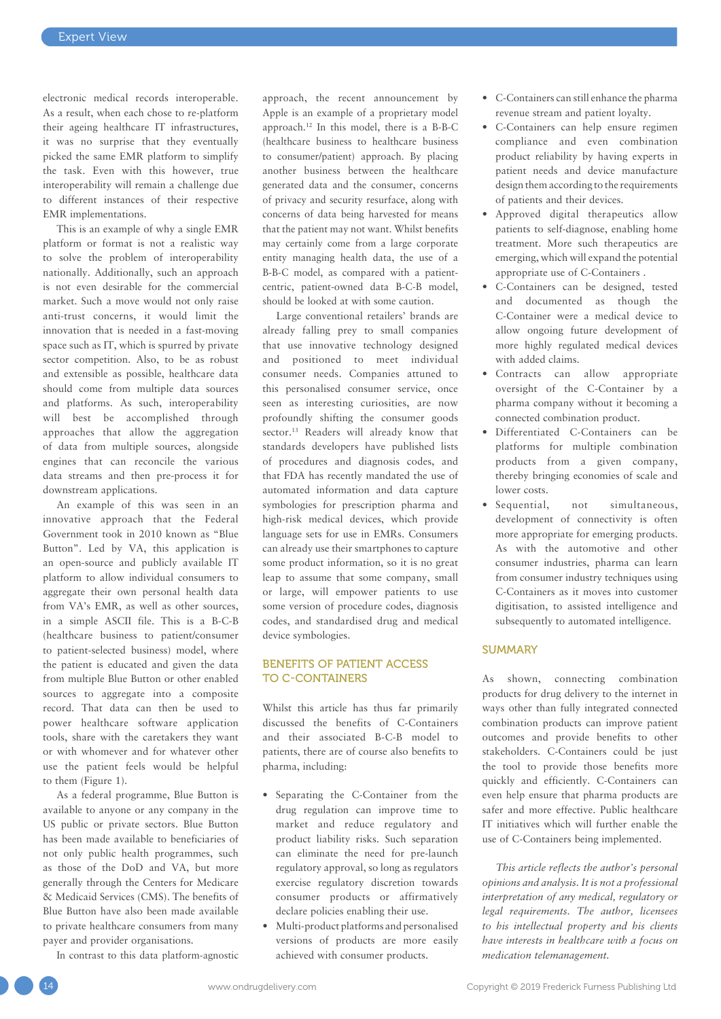electronic medical records interoperable. As a result, when each chose to re-platform their ageing healthcare IT infrastructures, it was no surprise that they eventually picked the same EMR platform to simplify the task. Even with this however, true interoperability will remain a challenge due to different instances of their respective EMR implementations.

This is an example of why a single EMR platform or format is not a realistic way to solve the problem of interoperability nationally. Additionally, such an approach is not even desirable for the commercial market. Such a move would not only raise anti-trust concerns, it would limit the innovation that is needed in a fast-moving space such as IT, which is spurred by private sector competition. Also, to be as robust and extensible as possible, healthcare data should come from multiple data sources and platforms. As such, interoperability will best be accomplished through approaches that allow the aggregation of data from multiple sources, alongside engines that can reconcile the various data streams and then pre-process it for downstream applications.

An example of this was seen in an innovative approach that the Federal Government took in 2010 known as "Blue Button". Led by VA, this application is an open-source and publicly available IT platform to allow individual consumers to aggregate their own personal health data from VA's EMR, as well as other sources, in a simple ASCII file. This is a B-C-B (healthcare business to patient/consumer to patient-selected business) model, where the patient is educated and given the data from multiple Blue Button or other enabled sources to aggregate into a composite record. That data can then be used to power healthcare software application tools, share with the caretakers they want or with whomever and for whatever other use the patient feels would be helpful to them (Figure 1).

As a federal programme, Blue Button is available to anyone or any company in the US public or private sectors. Blue Button has been made available to beneficiaries of not only public health programmes, such as those of the DoD and VA, but more generally through the Centers for Medicare & Medicaid Services (CMS). The benefits of Blue Button have also been made available to private healthcare consumers from many payer and provider organisations.

In contrast to this data platform-agnostic

approach, the recent announcement by Apple is an example of a proprietary model approach.12 In this model, there is a B-B-C (healthcare business to healthcare business to consumer/patient) approach. By placing another business between the healthcare generated data and the consumer, concerns of privacy and security resurface, along with concerns of data being harvested for means that the patient may not want. Whilst benefits may certainly come from a large corporate entity managing health data, the use of a B-B-C model, as compared with a patientcentric, patient-owned data B-C-B model, should be looked at with some caution.

Large conventional retailers' brands are already falling prey to small companies that use innovative technology designed and positioned to meet individual consumer needs. Companies attuned to this personalised consumer service, once seen as interesting curiosities, are now profoundly shifting the consumer goods sector.<sup>13</sup> Readers will already know that standards developers have published lists of procedures and diagnosis codes, and that FDA has recently mandated the use of automated information and data capture symbologies for prescription pharma and high-risk medical devices, which provide language sets for use in EMRs. Consumers can already use their smartphones to capture some product information, so it is no great leap to assume that some company, small or large, will empower patients to use some version of procedure codes, diagnosis codes, and standardised drug and medical device symbologies.

#### BENEFITS OF PATIENT ACCESS TO C-CONTAINERS

Whilst this article has thus far primarily discussed the benefits of C-Containers and their associated B-C-B model to patients, there are of course also benefits to pharma, including:

- Separating the C-Container from the drug regulation can improve time to market and reduce regulatory and product liability risks. Such separation can eliminate the need for pre-launch regulatory approval, so long as regulators exercise regulatory discretion towards consumer products or affirmatively declare policies enabling their use.
- Multi-product platforms and personalised versions of products are more easily achieved with consumer products.
- C-Containers can still enhance the pharma revenue stream and patient loyalty.
- C-Containers can help ensure regimen compliance and even combination product reliability by having experts in patient needs and device manufacture design them according to the requirements of patients and their devices.
- Approved digital therapeutics allow patients to self-diagnose, enabling home treatment. More such therapeutics are emerging, which will expand the potential appropriate use of C-Containers .
- C-Containers can be designed, tested and documented as though the C-Container were a medical device to allow ongoing future development of more highly regulated medical devices with added claims.
- Contracts can allow appropriate oversight of the C-Container by a pharma company without it becoming a connected combination product.
- Differentiated C-Containers can be platforms for multiple combination products from a given company, thereby bringing economies of scale and lower costs.
- Sequential, not simultaneous, development of connectivity is often more appropriate for emerging products. As with the automotive and other consumer industries, pharma can learn from consumer industry techniques using C-Containers as it moves into customer digitisation, to assisted intelligence and subsequently to automated intelligence.

#### **SUMMARY**

As shown, connecting combination products for drug delivery to the internet in ways other than fully integrated connected combination products can improve patient outcomes and provide benefits to other stakeholders. C-Containers could be just the tool to provide those benefits more quickly and efficiently. C-Containers can even help ensure that pharma products are safer and more effective. Public healthcare IT initiatives which will further enable the use of C-Containers being implemented.

*This article reflects the author's personal opinions and analysis. It is not a professional interpretation of any medical, regulatory or legal requirements. The author, licensees to his intellectual property and his clients have interests in healthcare with a focus on medication telemanagement.*